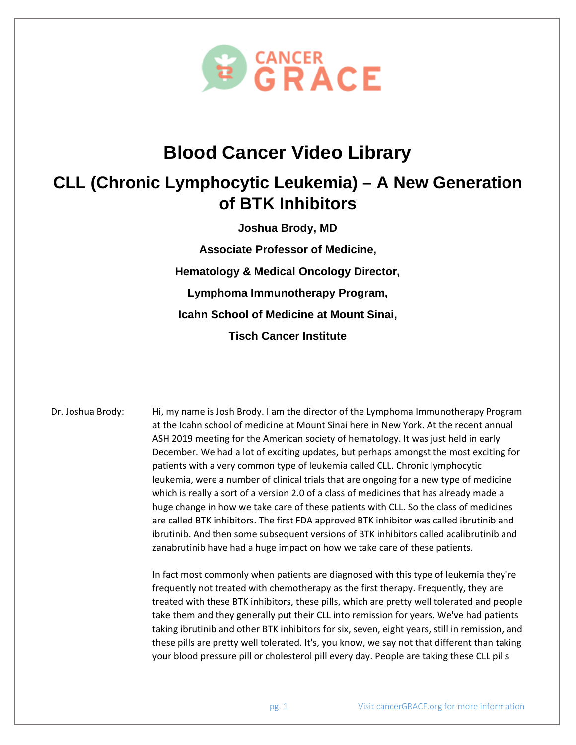

## **Blood Cancer Video Library**

## **CLL (Chronic Lymphocytic Leukemia) – A New Generation of BTK Inhibitors**

**Joshua Brody, MD**

**Associate Professor of Medicine, Hematology & Medical Oncology Director, Lymphoma Immunotherapy Program, Icahn School of Medicine at Mount Sinai, Tisch Cancer Institute**

Dr. Joshua Brody: Hi, my name is Josh Brody. I am the director of the Lymphoma Immunotherapy Program at the Icahn school of medicine at Mount Sinai here in New York. At the recent annual ASH 2019 meeting for the American society of hematology. It was just held in early December. We had a lot of exciting updates, but perhaps amongst the most exciting for patients with a very common type of leukemia called CLL. Chronic lymphocytic leukemia, were a number of clinical trials that are ongoing for a new type of medicine which is really a sort of a version 2.0 of a class of medicines that has already made a huge change in how we take care of these patients with CLL. So the class of medicines are called BTK inhibitors. The first FDA approved BTK inhibitor was called ibrutinib and ibrutinib. And then some subsequent versions of BTK inhibitors called acalibrutinib and zanabrutinib have had a huge impact on how we take care of these patients.

> In fact most commonly when patients are diagnosed with this type of leukemia they're frequently not treated with chemotherapy as the first therapy. Frequently, they are treated with these BTK inhibitors, these pills, which are pretty well tolerated and people take them and they generally put their CLL into remission for years. We've had patients taking ibrutinib and other BTK inhibitors for six, seven, eight years, still in remission, and these pills are pretty well tolerated. It's, you know, we say not that different than taking your blood pressure pill or cholesterol pill every day. People are taking these CLL pills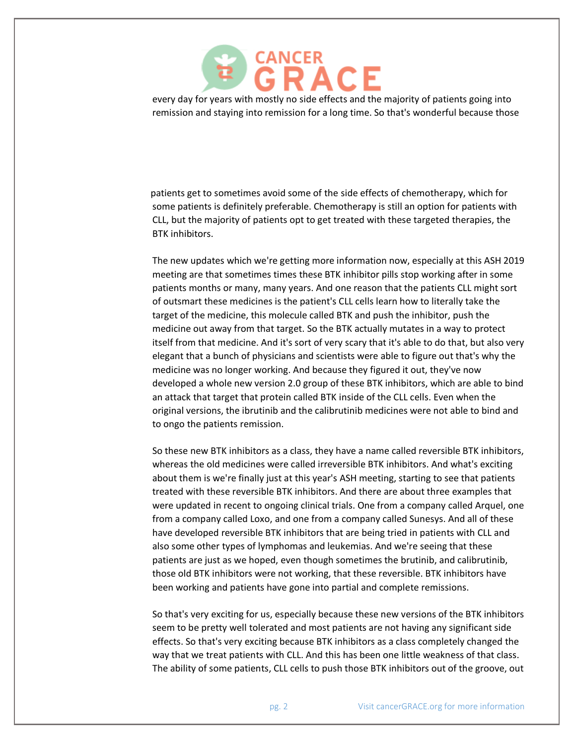

every day for years with mostly no side effects and the majority of patients going into remission and staying into remission for a long time. So that's wonderful because those

patients get to sometimes avoid some of the side effects of chemotherapy, which for some patients is definitely preferable. Chemotherapy is still an option for patients with CLL, but the majority of patients opt to get treated with these targeted therapies, the BTK inhibitors.

The new updates which we're getting more information now, especially at this ASH 2019 meeting are that sometimes times these BTK inhibitor pills stop working after in some patients months or many, many years. And one reason that the patients CLL might sort of outsmart these medicines is the patient's CLL cells learn how to literally take the target of the medicine, this molecule called BTK and push the inhibitor, push the medicine out away from that target. So the BTK actually mutates in a way to protect itself from that medicine. And it's sort of very scary that it's able to do that, but also very elegant that a bunch of physicians and scientists were able to figure out that's why the medicine was no longer working. And because they figured it out, they've now developed a whole new version 2.0 group of these BTK inhibitors, which are able to bind an attack that target that protein called BTK inside of the CLL cells. Even when the original versions, the ibrutinib and the calibrutinib medicines were not able to bind and to ongo the patients remission.

So these new BTK inhibitors as a class, they have a name called reversible BTK inhibitors, whereas the old medicines were called irreversible BTK inhibitors. And what's exciting about them is we're finally just at this year's ASH meeting, starting to see that patients treated with these reversible BTK inhibitors. And there are about three examples that were updated in recent to ongoing clinical trials. One from a company called Arquel, one from a company called Loxo, and one from a company called Sunesys. And all of these have developed reversible BTK inhibitors that are being tried in patients with CLL and also some other types of lymphomas and leukemias. And we're seeing that these patients are just as we hoped, even though sometimes the brutinib, and calibrutinib, those old BTK inhibitors were not working, that these reversible. BTK inhibitors have been working and patients have gone into partial and complete remissions.

So that's very exciting for us, especially because these new versions of the BTK inhibitors seem to be pretty well tolerated and most patients are not having any significant side effects. So that's very exciting because BTK inhibitors as a class completely changed the way that we treat patients with CLL. And this has been one little weakness of that class. The ability of some patients, CLL cells to push those BTK inhibitors out of the groove, out